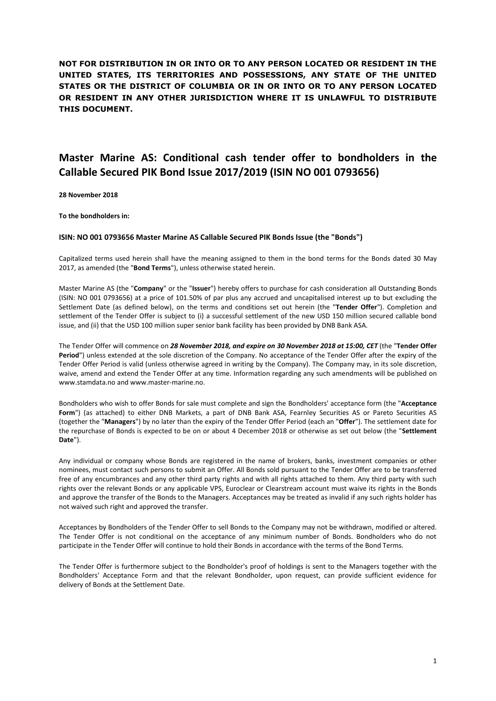**NOT FOR DISTRIBUTION IN OR INTO OR TO ANY PERSON LOCATED OR RESIDENT IN THE UNITED STATES, ITS TERRITORIES AND POSSESSIONS, ANY STATE OF THE UNITED STATES OR THE DISTRICT OF COLUMBIA OR IN OR INTO OR TO ANY PERSON LOCATED OR RESIDENT IN ANY OTHER JURISDICTION WHERE IT IS UNLAWFUL TO DISTRIBUTE THIS DOCUMENT.** 

# **Master Marine AS: Conditional cash tender offer to bondholders in the Callable Secured PIK Bond Issue 2017/2019 (ISIN NO 001 0793656)**

**28 November 2018**

**To the bondholders in:** 

#### **ISIN: NO 001 0793656 Master Marine AS Callable Secured PIK Bonds Issue (the "Bonds")**

Capitalized terms used herein shall have the meaning assigned to them in the bond terms for the Bonds dated 30 May 2017, as amended (the "**Bond Terms**"), unless otherwise stated herein.

Master Marine AS (the "**Company**" or the "**Issuer**") hereby offers to purchase for cash consideration all Outstanding Bonds (ISIN: NO 001 0793656) at a price of 101.50% of par plus any accrued and uncapitalised interest up to but excluding the Settlement Date (as defined below), on the terms and conditions set out herein (the "**Tender Offer**"). Completion and settlement of the Tender Offer is subject to (i) a successful settlement of the new USD 150 million secured callable bond issue, and (ii) that the USD 100 million super senior bank facility has been provided by DNB Bank ASA.

The Tender Offer will commence on *28 November 2018, and expire on 30 November 2018 at 15:00, CET* (the "**Tender Offer Period**") unless extended at the sole discretion of the Company. No acceptance of the Tender Offer after the expiry of the Tender Offer Period is valid (unless otherwise agreed in writing by the Company). The Company may, in its sole discretion, waive, amend and extend the Tender Offer at any time. Information regarding any such amendments will be published on [www.stamdata.no a](http://www.stamdata.no/)nd www.master-marine.no.

Bondholders who wish to offer Bonds for sale must complete and sign the Bondholders' acceptance form (the "**Acceptance Form**") (as attached) to either DNB Markets, a part of DNB Bank ASA, Fearnley Securities AS or Pareto Securities AS (together the "**Managers**") by no later than the expiry of the Tender Offer Period (each an "**Offer**"). The settlement date for the repurchase of Bonds is expected to be on or about 4 December 2018 or otherwise as set out below (the "**Settlement Date**").

Any individual or company whose Bonds are registered in the name of brokers, banks, investment companies or other nominees, must contact such persons to submit an Offer. All Bonds sold pursuant to the Tender Offer are to be transferred free of any encumbrances and any other third party rights and with all rights attached to them. Any third party with such rights over the relevant Bonds or any applicable VPS, Euroclear or Clearstream account must waive its rights in the Bonds and approve the transfer of the Bonds to the Managers. Acceptances may be treated as invalid if any such rights holder has not waived such right and approved the transfer.

Acceptances by Bondholders of the Tender Offer to sell Bonds to the Company may not be withdrawn, modified or altered. The Tender Offer is not conditional on the acceptance of any minimum number of Bonds. Bondholders who do not participate in the Tender Offer will continue to hold their Bonds in accordance with the terms of the Bond Terms.

The Tender Offer is furthermore subject to the Bondholder's proof of holdings is sent to the Managers together with the Bondholders' Acceptance Form and that the relevant Bondholder, upon request, can provide sufficient evidence for delivery of Bonds at the Settlement Date.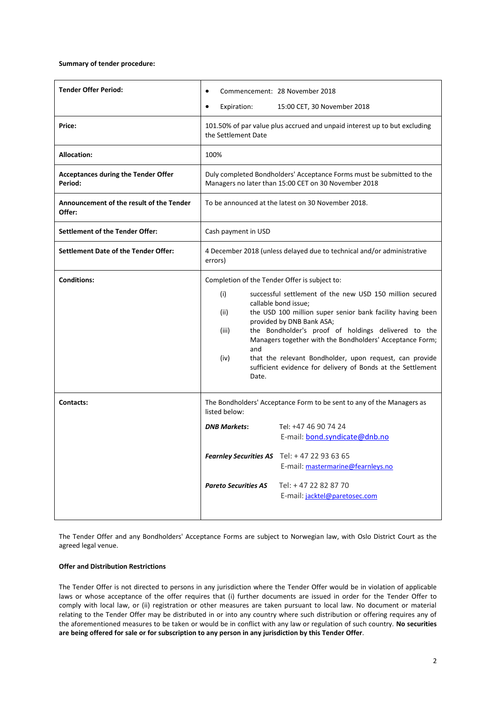## **Summary of tender procedure:**

| <b>Tender Offer Period:</b>                           | Commencement: 28 November 2018                                                                                                                                                                                                                                                                                                                                                                                                                                                                                            |  |
|-------------------------------------------------------|---------------------------------------------------------------------------------------------------------------------------------------------------------------------------------------------------------------------------------------------------------------------------------------------------------------------------------------------------------------------------------------------------------------------------------------------------------------------------------------------------------------------------|--|
|                                                       | Expiration:<br>15:00 CET, 30 November 2018                                                                                                                                                                                                                                                                                                                                                                                                                                                                                |  |
| Price:                                                | 101.50% of par value plus accrued and unpaid interest up to but excluding<br>the Settlement Date                                                                                                                                                                                                                                                                                                                                                                                                                          |  |
| <b>Allocation:</b>                                    | 100%                                                                                                                                                                                                                                                                                                                                                                                                                                                                                                                      |  |
| <b>Acceptances during the Tender Offer</b><br>Period: | Duly completed Bondholders' Acceptance Forms must be submitted to the<br>Managers no later than 15:00 CET on 30 November 2018                                                                                                                                                                                                                                                                                                                                                                                             |  |
| Announcement of the result of the Tender<br>Offer:    | To be announced at the latest on 30 November 2018.                                                                                                                                                                                                                                                                                                                                                                                                                                                                        |  |
| <b>Settlement of the Tender Offer:</b>                | Cash payment in USD                                                                                                                                                                                                                                                                                                                                                                                                                                                                                                       |  |
| <b>Settlement Date of the Tender Offer:</b>           | 4 December 2018 (unless delayed due to technical and/or administrative<br>errors)                                                                                                                                                                                                                                                                                                                                                                                                                                         |  |
| <b>Conditions:</b>                                    | Completion of the Tender Offer is subject to:<br>successful settlement of the new USD 150 million secured<br>(i)<br>callable bond issue;<br>the USD 100 million super senior bank facility having been<br>(ii)<br>provided by DNB Bank ASA;<br>the Bondholder's proof of holdings delivered to the<br>(iii)<br>Managers together with the Bondholders' Acceptance Form;<br>and<br>(iv)<br>that the relevant Bondholder, upon request, can provide<br>sufficient evidence for delivery of Bonds at the Settlement<br>Date. |  |
| Contacts:                                             | The Bondholders' Acceptance Form to be sent to any of the Managers as<br>listed below:                                                                                                                                                                                                                                                                                                                                                                                                                                    |  |
|                                                       | Tel: +47 46 90 74 24<br><b>DNB Markets:</b><br>E-mail: bond.syndicate@dnb.no                                                                                                                                                                                                                                                                                                                                                                                                                                              |  |
|                                                       | <b>Fearnley Securities AS</b><br>Tel: +47 22 93 63 65<br>E-mail: mastermarine@fearnleys.no                                                                                                                                                                                                                                                                                                                                                                                                                                |  |
|                                                       | Tel: +47 22 82 87 70<br><b>Pareto Securities AS</b><br>E-mail: jacktel@paretosec.com                                                                                                                                                                                                                                                                                                                                                                                                                                      |  |

The Tender Offer and any Bondholders' Acceptance Forms are subject to Norwegian law, with Oslo District Court as the agreed legal venue.

## **Offer and Distribution Restrictions**

The Tender Offer is not directed to persons in any jurisdiction where the Tender Offer would be in violation of applicable laws or whose acceptance of the offer requires that (i) further documents are issued in order for the Tender Offer to comply with local law, or (ii) registration or other measures are taken pursuant to local law. No document or material relating to the Tender Offer may be distributed in or into any country where such distribution or offering requires any of the aforementioned measures to be taken or would be in conflict with any law or regulation of such country. **No securities are being offered for sale or for subscription to any person in any jurisdiction by this Tender Offer**.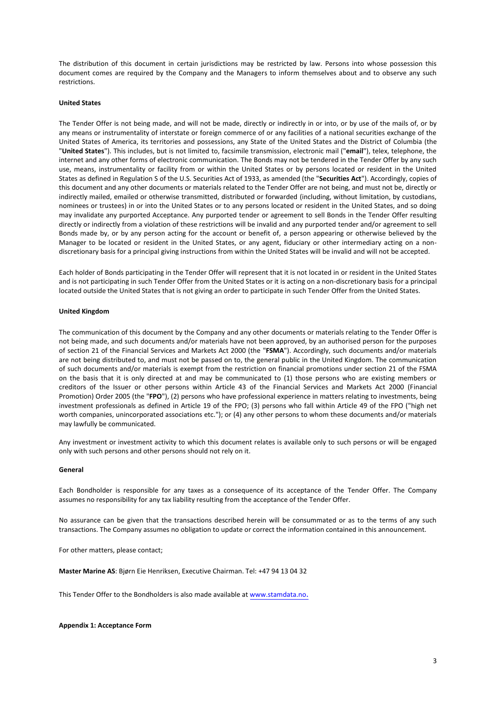The distribution of this document in certain jurisdictions may be restricted by law. Persons into whose possession this document comes are required by the Company and the Managers to inform themselves about and to observe any such restrictions.

#### **United States**

The Tender Offer is not being made, and will not be made, directly or indirectly in or into, or by use of the mails of, or by any means or instrumentality of interstate or foreign commerce of or any facilities of a national securities exchange of the United States of America, its territories and possessions, any State of the United States and the District of Columbia (the "**United States**"). This includes, but is not limited to, facsimile transmission, electronic mail ("**email**"), telex, telephone, the internet and any other forms of electronic communication. The Bonds may not be tendered in the Tender Offer by any such use, means, instrumentality or facility from or within the United States or by persons located or resident in the United States as defined in Regulation S of the U.S. Securities Act of 1933, as amended (the "**Securities Act**"). Accordingly, copies of this document and any other documents or materials related to the Tender Offer are not being, and must not be, directly or indirectly mailed, emailed or otherwise transmitted, distributed or forwarded (including, without limitation, by custodians, nominees or trustees) in or into the United States or to any persons located or resident in the United States, and so doing may invalidate any purported Acceptance. Any purported tender or agreement to sell Bonds in the Tender Offer resulting directly or indirectly from a violation of these restrictions will be invalid and any purported tender and/or agreement to sell Bonds made by, or by any person acting for the account or benefit of, a person appearing or otherwise believed by the Manager to be located or resident in the United States, or any agent, fiduciary or other intermediary acting on a nondiscretionary basis for a principal giving instructions from within the United States will be invalid and will not be accepted.

Each holder of Bonds participating in the Tender Offer will represent that it is not located in or resident in the United States and is not participating in such Tender Offer from the United States or it is acting on a non-discretionary basis for a principal located outside the United States that is not giving an order to participate in such Tender Offer from the United States.

#### **United Kingdom**

The communication of this document by the Company and any other documents or materials relating to the Tender Offer is not being made, and such documents and/or materials have not been approved, by an authorised person for the purposes of section 21 of the Financial Services and Markets Act 2000 (the "**FSMA**"). Accordingly, such documents and/or materials are not being distributed to, and must not be passed on to, the general public in the United Kingdom. The communication of such documents and/or materials is exempt from the restriction on financial promotions under section 21 of the FSMA on the basis that it is only directed at and may be communicated to (1) those persons who are existing members or creditors of the Issuer or other persons within Article 43 of the Financial Services and Markets Act 2000 (Financial Promotion) Order 2005 (the "**FPO**"), (2) persons who have professional experience in matters relating to investments, being investment professionals as defined in Article 19 of the FPO; (3) persons who fall within Article 49 of the FPO ("high net worth companies, unincorporated associations etc."); or (4) any other persons to whom these documents and/or materials may lawfully be communicated.

Any investment or investment activity to which this document relates is available only to such persons or will be engaged only with such persons and other persons should not rely on it.

## **General**

Each Bondholder is responsible for any taxes as a consequence of its acceptance of the Tender Offer. The Company assumes no responsibility for any tax liability resulting from the acceptance of the Tender Offer.

No assurance can be given that the transactions described herein will be consummated or as to the terms of any such transactions. The Company assumes no obligation to update or correct the information contained in this announcement.

For other matters, please contact;

**Master Marine AS**: Bjørn Eie Henriksen, Executive Chairman. Tel: +[47 94 13 04 32](mailto:bjorn.henriksen@master-marine.no)

This Tender Offer to the Bondholders is also made available at www.stamdata.no.

#### **Appendix 1: Acceptance Form**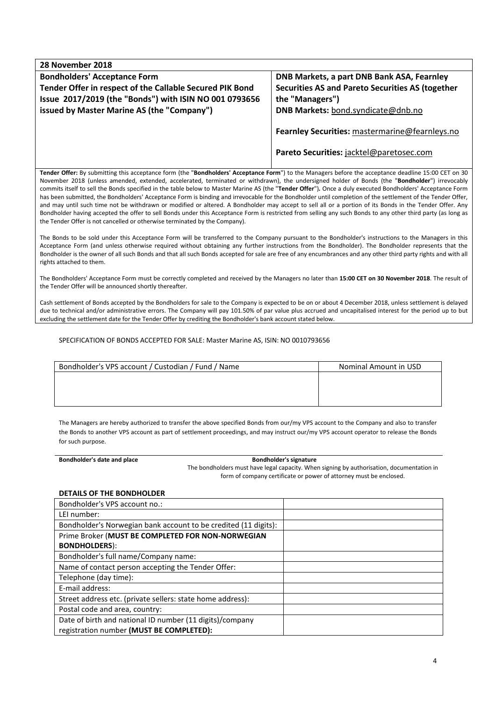| 28 November 2018                                                                                                                                                                                                                                                                                                                                                                                                                                                                                                                                                                                                                                                                                                                                                                                                                                                                                                                                             |                                                                                            |
|--------------------------------------------------------------------------------------------------------------------------------------------------------------------------------------------------------------------------------------------------------------------------------------------------------------------------------------------------------------------------------------------------------------------------------------------------------------------------------------------------------------------------------------------------------------------------------------------------------------------------------------------------------------------------------------------------------------------------------------------------------------------------------------------------------------------------------------------------------------------------------------------------------------------------------------------------------------|--------------------------------------------------------------------------------------------|
| <b>Bondholders' Acceptance Form</b>                                                                                                                                                                                                                                                                                                                                                                                                                                                                                                                                                                                                                                                                                                                                                                                                                                                                                                                          | DNB Markets, a part DNB Bank ASA, Fearnley                                                 |
| Tender Offer in respect of the Callable Secured PIK Bond                                                                                                                                                                                                                                                                                                                                                                                                                                                                                                                                                                                                                                                                                                                                                                                                                                                                                                     | <b>Securities AS and Pareto Securities AS (together</b>                                    |
| Issue 2017/2019 (the "Bonds") with ISIN NO 001 0793656                                                                                                                                                                                                                                                                                                                                                                                                                                                                                                                                                                                                                                                                                                                                                                                                                                                                                                       | the "Managers")                                                                            |
| issued by Master Marine AS (the "Company")                                                                                                                                                                                                                                                                                                                                                                                                                                                                                                                                                                                                                                                                                                                                                                                                                                                                                                                   | DNB Markets: bond.syndicate@dnb.no                                                         |
|                                                                                                                                                                                                                                                                                                                                                                                                                                                                                                                                                                                                                                                                                                                                                                                                                                                                                                                                                              | Fearnley Securities: mastermarine@fearnleys.no<br>Pareto Securities: jacktel@paretosec.com |
| Tender Offer: By submitting this acceptance form (the "Bondholders' Acceptance Form") to the Managers before the acceptance deadline 15:00 CET on 30<br>November 2018 (unless amended, extended, accelerated, terminated or withdrawn), the undersigned holder of Bonds (the "Bondholder") irrevocably<br>commits itself to sell the Bonds specified in the table below to Master Marine AS (the "Tender Offer"). Once a duly executed Bondholders' Acceptance Form<br>has been submitted, the Bondholders' Acceptance Form is binding and irrevocable for the Bondholder until completion of the settlement of the Tender Offer,<br>and may until such time not be withdrawn or modified or altered. A Bondholder may accept to sell all or a portion of its Bonds in the Tender Offer. Any<br>Bondholder having accepted the offer to sell Bonds under this Acceptance Form is restricted from selling any such Bonds to any other third party (as long as |                                                                                            |

The Bonds to be sold under this Acceptance Form will be transferred to the Company pursuant to the Bondholder's instructions to the Managers in this Acceptance Form (and unless otherwise required without obtaining any further instructions from the Bondholder). The Bondholder represents that the Bondholder is the owner of all such Bonds and that all such Bonds accepted for sale are free of any encumbrances and any other third party rights and with all rights attached to them.

The Bondholders' Acceptance Form must be correctly completed and received by the Managers no later than **15:00 CET on 30 November 2018**. The result of the Tender Offer will be announced shortly thereafter.

Cash settlement of Bonds accepted by the Bondholders for sale to the Company is expected to be on or about 4 December 2018, unless settlement is delayed due to technical and/or administrative errors. The Company will pay 101.50% of par value plus accrued and uncapitalised interest for the period up to but excluding the settlement date for the Tender Offer by crediting the Bondholder's bank account stated below.

SPECIFICATION OF BONDS ACCEPTED FOR SALE: Master Marine AS, ISIN: NO 0010793656

the Tender Offer is not cancelled or otherwise terminated by the Company).

| Bondholder's VPS account / Custodian / Fund / Name | Nominal Amount in USD |
|----------------------------------------------------|-----------------------|
|                                                    |                       |
|                                                    |                       |
|                                                    |                       |

The Managers are hereby authorized to transfer the above specified Bonds from our/my VPS account to the Company and also to transfer the Bonds to another VPS account as part of settlement proceedings, and may instruct our/my VPS account operator to release the Bonds for such purpose.

| Bondholder's date and place | <b>Bondholder's signature</b>                                                             |  |
|-----------------------------|-------------------------------------------------------------------------------------------|--|
|                             | The bondholders must have legal capacity. When signing by authorisation, documentation in |  |
|                             | form of company certificate or power of attorney must be enclosed.                        |  |

# **DETAILS OF THE BONDHOLDER**

| Bondholder's VPS account no.:                                   |  |
|-----------------------------------------------------------------|--|
| LEI number:                                                     |  |
| Bondholder's Norwegian bank account to be credited (11 digits): |  |
| Prime Broker (MUST BE COMPLETED FOR NON-NORWEGIAN               |  |
| <b>BONDHOLDERS):</b>                                            |  |
| Bondholder's full name/Company name:                            |  |
| Name of contact person accepting the Tender Offer:              |  |
| Telephone (day time):                                           |  |
| E-mail address:                                                 |  |
| Street address etc. (private sellers: state home address):      |  |
| Postal code and area, country:                                  |  |
| Date of birth and national ID number (11 digits)/company        |  |
| registration number (MUST BE COMPLETED):                        |  |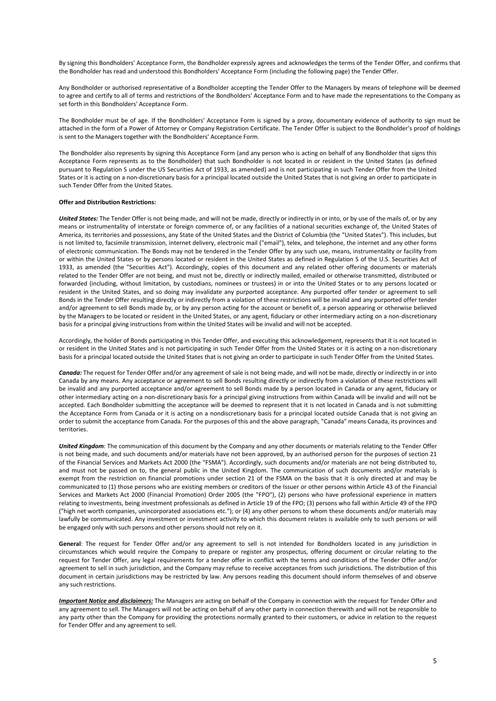By signing this Bondholders' Acceptance Form, the Bondholder expressly agrees and acknowledges the terms of the Tender Offer, and confirms that the Bondholder has read and understood this Bondholders' Acceptance Form (including the following page) the Tender Offer.

Any Bondholder or authorised representative of a Bondholder accepting the Tender Offer to the Managers by means of telephone will be deemed to agree and certify to all of terms and restrictions of the Bondholders' Acceptance Form and to have made the representations to the Company as set forth in this Bondholders' Acceptance Form.

The Bondholder must be of age. If the Bondholders' Acceptance Form is signed by a proxy, documentary evidence of authority to sign must be attached in the form of a Power of Attorney or Company Registration Certificate. The Tender Offer is subject to the Bondholder's proof of holdings is sent to the Managers together with the Bondholders' Acceptance Form.

The Bondholder also represents by signing this Acceptance Form (and any person who is acting on behalf of any Bondholder that signs this Acceptance Form represents as to the Bondholder) that such Bondholder is not located in or resident in the United States (as defined pursuant to Regulation S under the US Securities Act of 1933, as amended) and is not participating in such Tender Offer from the United States or it is acting on a non-discretionary basis for a principal located outside the United States that is not giving an order to participate in such Tender Offer from the United States.

#### **Offer and Distribution Restrictions:**

*United States:* The Tender Offer is not being made, and will not be made, directly or indirectly in or into, or by use of the mails of, or by any means or instrumentality of interstate or foreign commerce of, or any facilities of a national securities exchange of, the United States of America, its territories and possessions, any State of the United States and the District of Columbia (the "United States"). This includes, but is not limited to, facsimile transmission, internet delivery, electronic mail ("email"), telex, and telephone, the internet and any other forms of electronic communication. The Bonds may not be tendered in the Tender Offer by any such use, means, instrumentality or facility from or within the United States or by persons located or resident in the United States as defined in Regulation S of the U.S. Securities Act of 1933, as amended (the "Securities Act"). Accordingly, copies of this document and any related other offering documents or materials related to the Tender Offer are not being, and must not be, directly or indirectly mailed, emailed or otherwise transmitted, distributed or forwarded (including, without limitation, by custodians, nominees or trustees) in or into the United States or to any persons located or resident in the United States, and so doing may invalidate any purported acceptance. Any purported offer tender or agreement to sell Bonds in the Tender Offer resulting directly or indirectly from a violation of these restrictions will be invalid and any purported offer tender and/or agreement to sell Bonds made by, or by any person acting for the account or benefit of, a person appearing or otherwise believed by the Managers to be located or resident in the United States, or any agent, fiduciary or other intermediary acting on a non-discretionary basis for a principal giving instructions from within the United States will be invalid and will not be accepted.

Accordingly, the holder of Bonds participating in this Tender Offer, and executing this acknowledgement, represents that it is not located in or resident in the United States and is not participating in such Tender Offer from the United States or it is acting on a non-discretionary basis for a principal located outside the United States that is not giving an order to participate in such Tender Offer from the United States.

*Canada:* The request for Tender Offer and/or any agreement of sale is not being made, and will not be made, directly or indirectly in or into Canada by any means. Any acceptance or agreement to sell Bonds resulting directly or indirectly from a violation of these restrictions will be invalid and any purported acceptance and/or agreement to sell Bonds made by a person located in Canada or any agent, fiduciary or other intermediary acting on a non-discretionary basis for a principal giving instructions from within Canada will be invalid and will not be accepted. Each Bondholder submitting the acceptance will be deemed to represent that it is not located in Canada and is not submitting the Acceptance Form from Canada or it is acting on a nondiscretionary basis for a principal located outside Canada that is not giving an order to submit the acceptance from Canada. For the purposes of this and the above paragraph, "Canada" means Canada, its provinces and territories.

*United Kingdom*: The communication of this document by the Company and any other documents or materials relating to the Tender Offer is not being made, and such documents and/or materials have not been approved, by an authorised person for the purposes of section 21 of the Financial Services and Markets Act 2000 (the "FSMA"). Accordingly, such documents and/or materials are not being distributed to, and must not be passed on to, the general public in the United Kingdom. The communication of such documents and/or materials is exempt from the restriction on financial promotions under section 21 of the FSMA on the basis that it is only directed at and may be communicated to (1) those persons who are existing members or creditors of the Issuer or other persons within Article 43 of the Financial Services and Markets Act 2000 (Financial Promotion) Order 2005 (the "FPO"), (2) persons who have professional experience in matters relating to investments, being investment professionals as defined in Article 19 of the FPO; (3) persons who fall within Article 49 of the FPO ("high net worth companies, unincorporated associations etc."); or (4) any other persons to whom these documents and/or materials may lawfully be communicated. Any investment or investment activity to which this document relates is available only to such persons or will be engaged only with such persons and other persons should not rely on it.

**General**: The request for Tender Offer and/or any agreement to sell is not intended for Bondholders located in any jurisdiction in circumstances which would require the Company to prepare or register any prospectus, offering document or circular relating to the request for Tender Offer, any legal requirements for a tender offer in conflict with the terms and conditions of the Tender Offer and/or agreement to sell in such jurisdiction, and the Company may refuse to receive acceptances from such jurisdictions. The distribution of this document in certain jurisdictions may be restricted by law. Any persons reading this document should inform themselves of and observe any such restrictions.

*Important Notice and disclaimers:* The Managers are acting on behalf of the Company in connection with the request for Tender Offer and any agreement to sell. The Managers will not be acting on behalf of any other party in connection therewith and will not be responsible to any party other than the Company for providing the protections normally granted to their customers, or advice in relation to the request for Tender Offer and any agreement to sell.